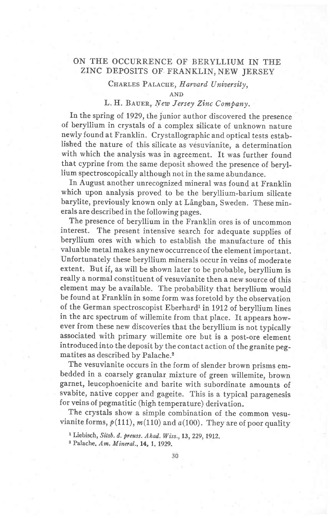# ON THE OCCURRENCE OF BERYLLIUM IN THE ZINC DEPOSITS OF FRANKLIN, NEW JERSEY

## CHARLES PALACHE, Harvard University,

AND

## L. H. BAUER, New Jersey Zinc Company.

In the spring of.1929, the junior author discovered the presence of beryllium in crystals of a complex silicate of unknown nature newly found at Franklin. Crystallographic and optical tests established the nature of this silicate as vésuvianite, a determination with which the analysis was in agreement. It was further found that cyprine from the same deposit showed the presence of beryllium spectroscopically although not in the same abundance.

fn August another unrecognized mineral was found at Franklin which upon analysis proved to be the beryllium-barium silicate barylite, previously known only at Långban, Sweden. These minerals are described in the following pages.

The presence of beryllium in the Franklin ores is of uncommon interest. The present intensive search for adequate supplies of beryllium ores with which to establish the manufacture of this valuable metal makes anynewoccurrenceof the element important. Unfortunately these beryllium minerals occur in veins of moderate extent. But if, as will be shown later to be probable, beryllium is really a normal constituent of vesuvianite then a new source of this element may be available. The probability that beryllium would. be found at Franklin in some form was foretold by the observation of the German spectroscopist Eberhard<sup>1</sup> in 1912 of beryllium lines in the arc spectrum of willemite from that place. It appears however from these new discoveries that the beryllium is not typically associated with primary willemite ore but is a post-ore element introduced into the deposit by the contact action of the granite pegmatites as described by Palache.2

The vesuvianite occurs in the form of slender brown prisms embedded in a coarsely granular mixture of green willemite, brown garnet, Ieucophoenicite and barite with subordinate amounts of svabite, native copper and gageite. This is a typical paragenesis for veins of pegmatitic (high temperature) derivation.

The crystals show a simple combination of the common vesuvianite forms,  $p(111)$ ,  $m(110)$  and  $a(100)$ . They are of poor quality

<sup>&</sup>lt;sup>1</sup> Liebisch, Sitzb. d. preuss. Akad. Wiss., 13, 229, 1912.

<sup>&</sup>lt;sup>2</sup> Palache. Am. Mineral., 14, 1, 1929.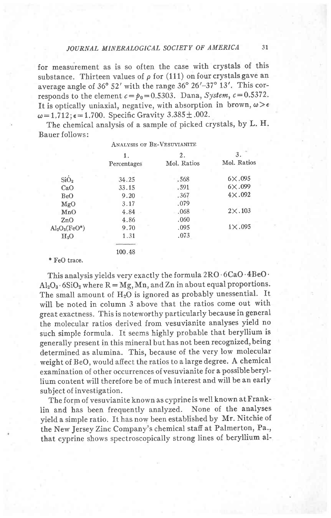for measurement as is so often the case with crystals of this substance. Thirteen values of  $\rho$  for (111) on four crystals gave an average angle of 36° 52' with the range 36° 26'-37° 13'. This corresponds to the element  $c=p_0=0.5303$ . Dana, System,  $c=0.5372$ . It is optically uniaxial, negative, with absorption in brown,  $\omega \geq \epsilon$  $\omega = 1.712$ ;  $\epsilon = 1.700$ . Specific Gravity 3.385 ± .002.

The chemical analysis of a sample of picked crystals, by L. H. Bauer follows: ANALVSIS OF BE-VESUVIANITE

|                  | 1.          | 2.          | 3.               |
|------------------|-------------|-------------|------------------|
|                  | Percentages | Mol. Ratios | Mol. Ratios      |
| SiO <sub>2</sub> | 34.25       | .568        | $6 \times 0.095$ |
| CaO              | 33.15       | .591        | $6 \times 0.099$ |
| <b>BeO</b>       | 9.20        | .367        | $4\times.092$    |
| MgO              | 3.17        | .079        |                  |
| MnO              | 4.84        | .068        | $2 \times 0.103$ |
| ZnO              | 4.86        | .060        |                  |
| $Al_2O_3(FeO^*)$ | 9.70        | .095        | $1 \times 0.095$ |
| $H_2O$           | 1.31        | .073        |                  |
|                  |             |             |                  |
|                  | 100.48      |             |                  |
| * FeO trace.     |             |             |                  |

This analysis yields very exactly the formula 2RO'6CaO'4BeO'  $\mathrm{Al}_2\mathrm{O}_3 \cdot 6\mathrm{SiO}_2$  where  $\mathrm{R} = \mathrm{Mg}, \mathrm{Mn},$  and  $\mathrm{Zn}$  in about equal proportions. The small amount of  $H_2O$  is ignored as probably unessential. It will be noted in column 3 above that the ratios come out with great exactness. This is noteworthy particularly because in general the molecular ratios derived from vesuvianite analyses yield no such simple formula. It seems highly probable that beryllium is generally present in this mineral but has not been recognized, being determined as alumina. This, because of the very low molecular weight of BeO, would affect the ratios to a large degree. A chemical examination of other occurrences ofvesuvianite for a possibleberyllium content will therefore be of much interest and will be an early subject of investigation.

The form of vesuvianite known as cyprineis well known at Franklin and has been frequently analyzed. None of the analyses yield a simple ratio. It has now been established by Mr. Nitchie of the New Jersey Zinc Company's chemical stafi at Palmerton, Pa., that cyprine shows spectroscopically strong lines of beryllium al-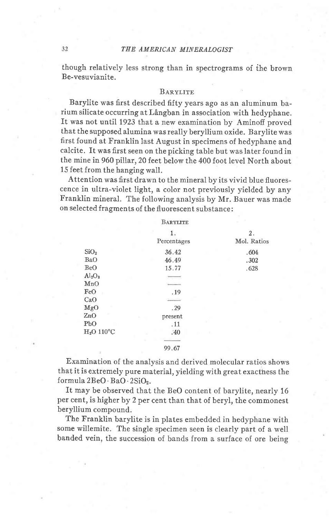### 32 THE AMERICAN MINERALOGIST

though relatively less strong than in spectrograms of the brown Be-vesuvianite.

#### BARVLITE

Barylite was first described fifty years ago as an aluminum barium silicate occurring at Långban in association with hedyphane. It was not until 1923 that a new examination by Aminofi proved that the supposed alumina was really beryllium oxide. Barylite was first found at Franklin last August in specimens of hedyphane and calcite. It was first seen on the picking table but was later found in the mine in 960 pillar, 20 feet below the 400 foot level North about 15 feet from the hanging wall.

Attention was first drawn to the mineral by its vivid blue fluorescence in ultra-violet light, a color not previously yielded by any Franklin mineral. The following analysis by Mr. Bauer was made on selected fragments of the fluorescent substance:

|                                | BARYLITE          |                   |
|--------------------------------|-------------------|-------------------|
|                                | 1.<br>Percentages | 2.<br>Mol. Ratios |
|                                |                   |                   |
| SiO <sub>2</sub>               | 36.42             | .604              |
| BaO                            | 46.49             | .302              |
| <b>BeO</b>                     | 15.77             | .628              |
| Al <sub>2</sub> O <sub>3</sub> |                   |                   |
| MnO                            |                   |                   |
| FeO                            | .19               |                   |
| CaO                            |                   |                   |
| MgO                            | .29               |                   |
| ZnO                            | present           |                   |
| PbO                            | .11               |                   |
| $H2O$ 110°C                    | .40               |                   |
|                                |                   |                   |
|                                | $00 \leq R$       |                   |

99.67

Examination of the analysis and derived molecular ratios shows that it is extremely pure material, yielding with great exacthess the formula 2BeO' BaO - 2SiOz.

It may be observed that the BeO content of barylite, nearly 16 per cent, is higher by 2 per cent than that of beryl, the commonest beryllium compound.

The Franklin barylite is in plates embedded in hedyphane with some willemite. The single specimen seen is clearly part of a well banded vein, the succession of bands from a surface of ore being